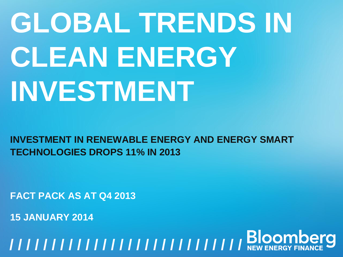# **GLOBAL TRENDS IN CLEAN ENERGY INVESTMENT**

**INVESTMENT IN RENEWABLE ENERGY AND ENERGY SMART TECHNOLOGIES DROPS 11% IN 2013**

**FACT PACK AS AT Q4 2013**

**15 JANUARY 2014**

**GROBAL TRENDS IN THE UPPER IN THE VEHICLE SET THAT THE VERTHERGY FINANCE SET THE VERTHAL AND THE VERTHAL AND THE VERTHAL MODEL TO A 4 JANUARY 2014**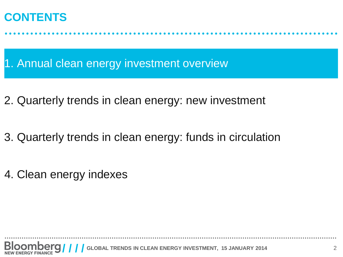#### **CONTENTS**

1. Annual clean energy investment overview

- 2. Quarterly trends in clean energy: new investment
- 3. Quarterly trends in clean energy: funds in circulation
- 4. Clean energy indexes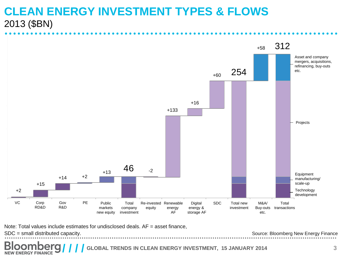#### **CLEAN ENERGY INVESTMENT TYPES & FLOWS** 2013 (\$BN)



Note: Total values include estimates for undisclosed deals.  $AF =$  asset finance,

SDC = small distributed capacity.

**NEW ENERGY FINANCE** 

Source: Bloomberg New Energy Finance

GLOBAL TRENDS IN CLEAN ENERGY INVESTMENT, 15 JANUARY 2014 3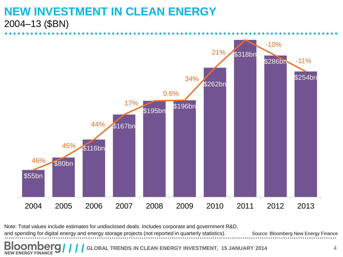#### **NEW INVESTMENT IN CLEAN ENERGY** 2004–13 (\$BN)

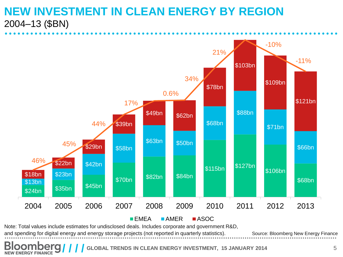#### **NEW INVESTMENT IN CLEAN ENERGY BY REGION** 2004–13 (\$BN)

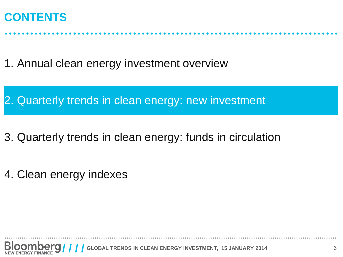#### **CONTENTS**

1. Annual clean energy investment overview

2. Quarterly trends in clean energy: new investment

- 3. Quarterly trends in clean energy: funds in circulation
- 4. Clean energy indexes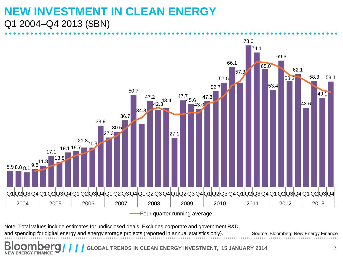#### **NEW INVESTMENT IN CLEAN ENERGY** Q1 2004–Q4 2013 (\$BN)

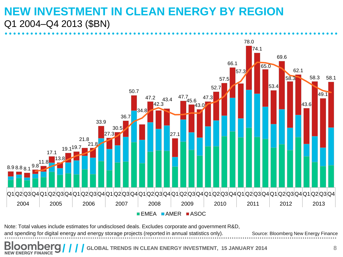#### **NEW INVESTMENT IN CLEAN ENERGY BY REGION**  Q1 2004–Q4 2013 (\$BN)

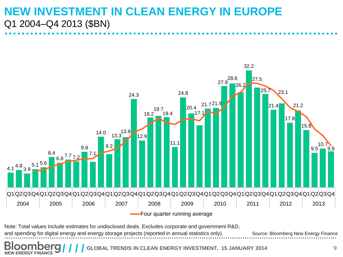#### **NEW INVESTMENT IN CLEAN ENERGY IN EUROPE** Q1 2004–Q4 2013 (\$BN)

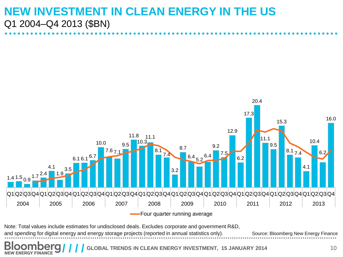#### **NEW INVESTMENT IN CLEAN ENERGY IN THE US** Q1 2004–Q4 2013 (\$BN)

![](_page_9_Figure_1.jpeg)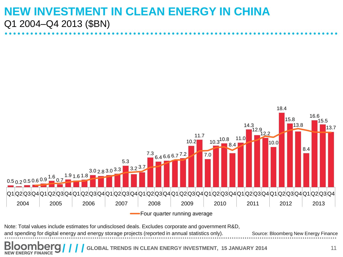#### **NEW INVESTMENT IN CLEAN ENERGY IN CHINA** Q1 2004–Q4 2013 (\$BN)

![](_page_10_Figure_1.jpeg)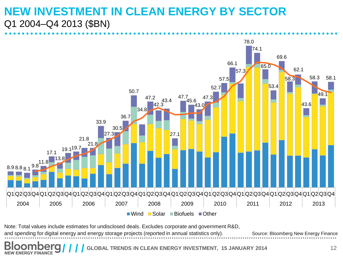#### **NEW INVESTMENT IN CLEAN ENERGY BY SECTOR** Q1 2004–Q4 2013 (\$BN)

![](_page_11_Figure_1.jpeg)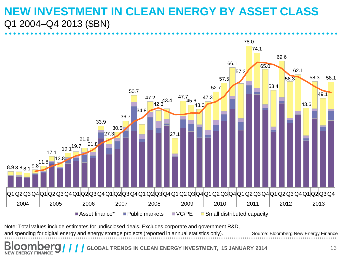#### **NEW INVESTMENT IN CLEAN ENERGY BY ASSET CLASS**  Q1 2004–Q4 2013 (\$BN)

![](_page_12_Figure_1.jpeg)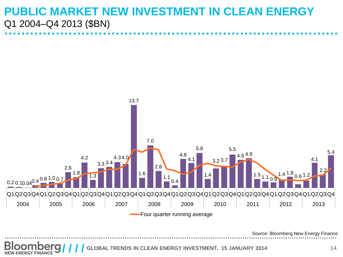#### **PUBLIC MARKET NEW INVESTMENT IN CLEAN ENERGY**  Q1 2004–Q4 2013 (\$BN)

![](_page_13_Figure_1.jpeg)

Source: Bloomberg New Energy Finance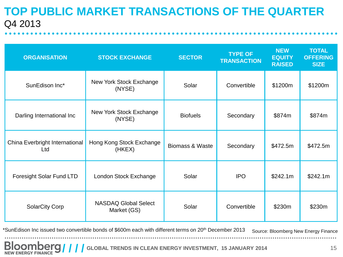#### **TOP PUBLIC MARKET TRANSACTIONS OF THE QUARTER** Q4 2013

| <b>ORGANISATION</b>                   | <b>STOCK EXCHANGE</b>                      | <b>SECTOR</b>                | <b>TYPE OF</b><br><b>TRANSACTION</b> | <b>NEW</b><br><b>EQUITY</b><br><b>RAISED</b> | <b>TOTAL</b><br><b>OFFERING</b><br><b>SIZE</b> |
|---------------------------------------|--------------------------------------------|------------------------------|--------------------------------------|----------------------------------------------|------------------------------------------------|
| SunEdison Inc*                        | New York Stock Exchange<br>(NYSE)          | Solar                        | Convertible                          | \$1200m                                      | \$1200m                                        |
| Darling International Inc             | New York Stock Exchange<br>(NYSE)          | <b>Biofuels</b><br>Secondary |                                      | \$874m                                       | \$874m                                         |
| China Everbright International<br>Ltd | Hong Kong Stock Exchange<br>(HKEX)         | <b>Biomass &amp; Waste</b>   | Secondary                            | \$472.5m                                     | \$472.5m                                       |
| Foresight Solar Fund LTD              | London Stock Exchange                      | Solar                        | <b>IPO</b>                           | \$242.1m                                     | \$242.1m                                       |
| <b>SolarCity Corp</b>                 | <b>NASDAQ Global Select</b><br>Market (GS) | Solar                        | Convertible                          | \$230m                                       | \$230m                                         |

Source: Bloomberg New Energy Finance \*SunEdison Inc issued two convertible bonds of \$600m each with different terms on 20th December 2013

**GLOOMBERGY FINANCE AND ALL TRENDS IN CLEAN ENERGY INVESTMENT, 15 JANUARY 2014** 15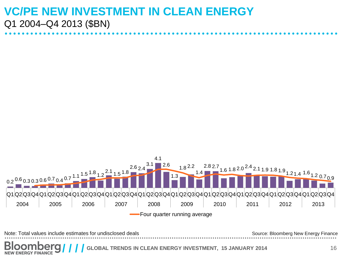#### **VC/PE NEW INVESTMENT IN CLEAN ENERGY**  Q1 2004–Q4 2013 (\$BN)

![](_page_15_Figure_1.jpeg)

**GLOBAL TRENDS IN CLEAN ENERGY INVESTMENT, 15 JANUARY 2014** 16 **NEW ENERGY FINANCE**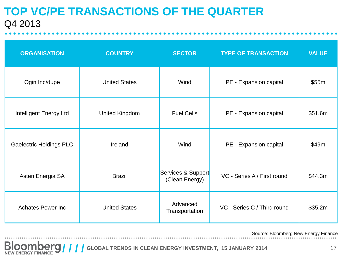#### **TOP VC/PE TRANSACTIONS OF THE QUARTER** Q4 2013

| <b>ORGANISATION</b>            | <b>COUNTRY</b>       | <b>SECTOR</b>                        | <b>TYPE OF TRANSACTION</b>  | <b>VALUE</b> |
|--------------------------------|----------------------|--------------------------------------|-----------------------------|--------------|
| Ogin Inc/dupe                  | <b>United States</b> | Wind                                 | PE - Expansion capital      | \$55m        |
| Intelligent Energy Ltd         | United Kingdom       | <b>Fuel Cells</b>                    | PE - Expansion capital      | \$51.6m      |
| <b>Gaelectric Holdings PLC</b> | Ireland              | Wind                                 | PE - Expansion capital      | \$49m        |
| Asteri Energia SA              | <b>Brazil</b>        | Services & Support<br>(Clean Energy) | VC - Series A / First round | \$44.3m      |
| <b>Achates Power Inc</b>       | <b>United States</b> | Advanced<br>Transportation           | VC - Series C / Third round | \$35.2m      |

Source: Bloomberg New Energy Finance

**GLOOMBETS ////** GLOBAL TRENDS IN CLEAN ENERGY INVESTMENT, 15 JANUARY 2014 17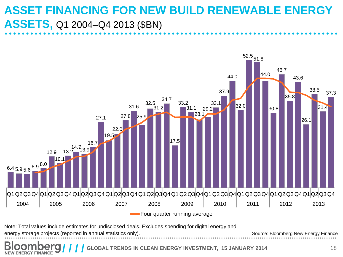### **ASSET FINANCING FOR NEW BUILD RENEWABLE ENERGY ASSETS,** Q1 2004–Q4 2013 (\$BN)

![](_page_17_Figure_1.jpeg)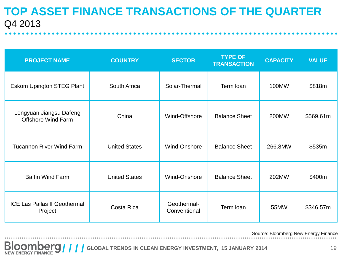#### **TOP ASSET FINANCE TRANSACTIONS OF THE QUARTER** Q4 2013

| <b>PROJECT NAME</b>                                  | <b>COUNTRY</b>       | <b>TYPE OF</b><br><b>SECTOR</b><br><b>TRANSACTION</b> |                      | <b>CAPACITY</b> | <b>VALUE</b> |
|------------------------------------------------------|----------------------|-------------------------------------------------------|----------------------|-----------------|--------------|
| <b>Eskom Upington STEG Plant</b>                     | South Africa         | Solar-Thermal                                         | Term loan            | 100MW           | \$818m       |
| Longyuan Jiangsu Dafeng<br><b>Offshore Wind Farm</b> | China                | Wind-Offshore                                         | <b>Balance Sheet</b> | 200MW           | \$569.61m    |
| <b>Tucannon River Wind Farm</b>                      | <b>United States</b> | Wind-Onshore                                          | <b>Balance Sheet</b> | 266.8MW         | \$535m       |
| <b>Baffin Wind Farm</b>                              | <b>United States</b> | Wind-Onshore                                          | <b>Balance Sheet</b> | 202MW           | \$400m       |
| <b>ICE Las Pailas II Geothermal</b><br>Project       | Costa Rica           | Geothermal-<br>Conventional                           | Term loan            | 55MW            | \$346.57m    |

Source: Bloomberg New Energy Finance

**GLOOMBERGY ////** GLOBAL TRENDS IN CLEAN ENERGY INVESTMENT, 15 JANUARY 2014 19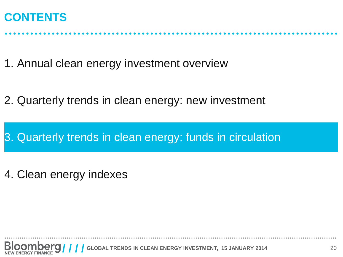#### **CONTENTS**

1. Annual clean energy investment overview

2. Quarterly trends in clean energy: new investment

3. Quarterly trends in clean energy: funds in circulation

4. Clean energy indexes

**GLOBAL TRENDS IN CLEAN ENERGY INVESTMENT, 15 JANUARY 2014** 20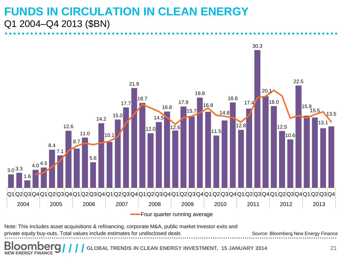#### **FUNDS IN CIRCULATION IN CLEAN ENERGY**  Q1 2004–Q4 2013 (\$BN)

![](_page_20_Figure_1.jpeg)

Source: Bloomberg New Energy Finance Note: This includes asset acquisitions & refinancing, corporate M&A, public market investor exits and private equity buy-outs. Total values include estimates for undisclosed deals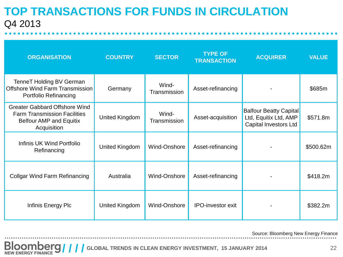#### **TOP TRANSACTIONS FOR FUNDS IN CIRCULATION**  Q4 2013

| <b>ORGANISATION</b>                                                                                                          | <b>COUNTRY</b>        | <b>SECTOR</b>         | <b>TYPE OF</b><br><b>TRANSACTION</b> | <b>ACQUIRER</b>                                                                        | <b>VALUE</b> |
|------------------------------------------------------------------------------------------------------------------------------|-----------------------|-----------------------|--------------------------------------|----------------------------------------------------------------------------------------|--------------|
| <b>TenneT Holding BV German</b><br>Offshore Wind Farm Transmission<br>Portfolio Refinancing                                  | Germany               | Wind-<br>Transmission | Asset-refinancing                    |                                                                                        | \$685m       |
| <b>Greater Gabbard Offshore Wind</b><br><b>Farm Transmission Facilities</b><br><b>Belfour AMP and Equitix</b><br>Acquisition | <b>United Kingdom</b> | Wind-<br>Transmission | Asset-acquisition                    | <b>Balfour Beatty Capital</b><br>Ltd, Equitix Ltd, AMP<br><b>Capital Investors Ltd</b> | \$571.8m     |
| Infinis UK Wind Portfolio<br>Refinancing                                                                                     | United Kingdom        | <b>Wind-Onshore</b>   | Asset-refinancing                    |                                                                                        | \$500.62m    |
| <b>Collgar Wind Farm Refinancing</b>                                                                                         | Australia             | Wind-Onshore          | Asset-refinancing                    |                                                                                        | \$418.2m     |
| Infinis Energy Plc                                                                                                           | United Kingdom        | Wind-Onshore          | <b>IPO-investor exit</b>             |                                                                                        | \$382.2m     |

Source: Bloomberg New Energy Finance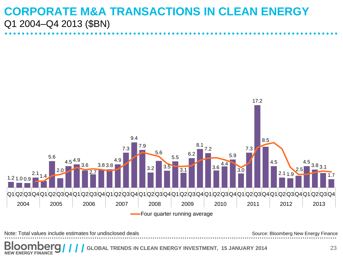#### **CORPORATE M&A TRANSACTIONS IN CLEAN ENERGY**  Q1 2004–Q4 2013 (\$BN)

![](_page_22_Figure_1.jpeg)

Note: Total values include estimates for undisclosed deals Source: Bloomberg New Energy Finance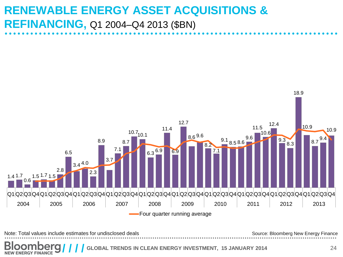### **RENEWABLE ENERGY ASSET ACQUISITIONS & REFINANCING,** Q1 2004–Q4 2013 (\$BN)

![](_page_23_Figure_1.jpeg)

Note: Total values include estimates for undisclosed deals Source: Bloomberg New Energy Finance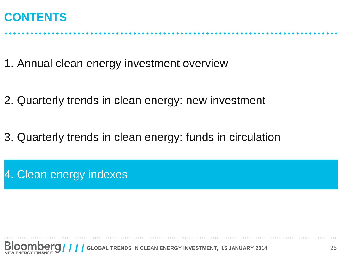#### **CONTENTS**

1. Annual clean energy investment overview

2. Quarterly trends in clean energy: new investment

3. Quarterly trends in clean energy: funds in circulation

4. Clean energy indexes

**GLOBAL TRENDS IN CLEAN ENERGY INVESTMENT, 15 JANUARY 2014** 25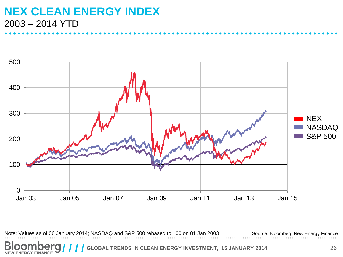#### **NEX CLEAN ENERGY INDEX**  2003 – 2014 YTD

![](_page_25_Figure_1.jpeg)

Source: Bloomberg New Energy Finance Note: Values as of 06 January 2014; NASDAQ and S&P 500 rebased to 100 on 01 Jan 2003

**GLOBAL TRENDS IN CLEAN ENERGY INVESTMENT, 15 JANUARY 2014** 26 **NEW ENERGY FINANCE**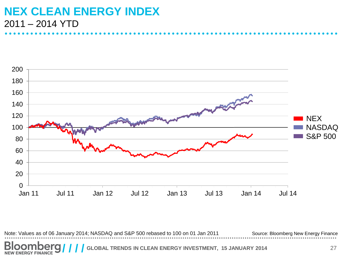#### **NEX CLEAN ENERGY INDEX** 2011 – 2014 YTD

![](_page_26_Figure_1.jpeg)

Source: Bloomberg New Energy Finance Note: Values as of 06 January 2014; NASDAQ and S&P 500 rebased to 100 on 01 Jan 2011

**GLOBAL TRENDS IN CLEAN ENERGY INVESTMENT, 15 JANUARY 2014** 27 **NEW ENERGY FINANCE**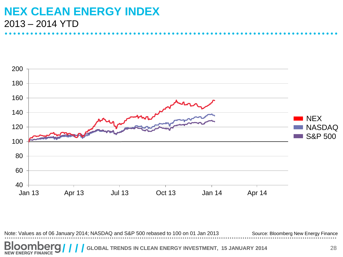#### **NEX CLEAN ENERGY INDEX** 2013 – 2014 YTD

![](_page_27_Figure_1.jpeg)

Source: Bloomberg New Energy Finance Note: Values as of 06 January 2014; NASDAQ and S&P 500 rebased to 100 on 01 Jan 2013

**GLOBAL TRENDS IN CLEAN ENERGY INVESTMENT, 15 JANUARY 2014** 28 **NEW ENERGY FINANCE**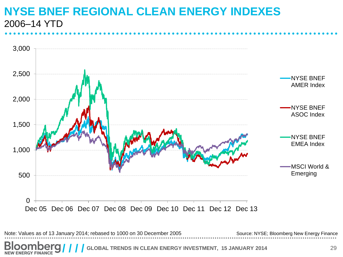#### **NYSE BNEF REGIONAL CLEAN ENERGY INDEXES**  2006–14 YTD

![](_page_28_Figure_1.jpeg)

**GLOBAL TRENDS IN CLEAN ENERGY INVESTMENT, 15 JANUARY 2014** 29 **NEW ENERGY FINANCE**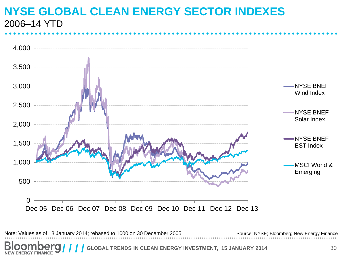#### **NYSE GLOBAL CLEAN ENERGY SECTOR INDEXES**  2006–14 YTD

![](_page_29_Figure_1.jpeg)

**GLOBAL TRENDS IN CLEAN ENERGY INVESTMENT, 15 JANUARY 2014** 30 **NEW ENERGY FINANCE**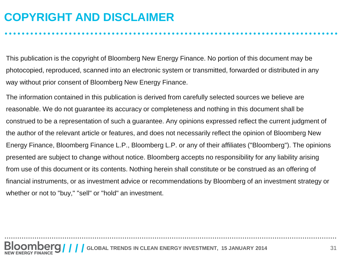### **COPYRIGHT AND DISCLAIMER**

This publication is the copyright of Bloomberg New Energy Finance. No portion of this document may be photocopied, reproduced, scanned into an electronic system or transmitted, forwarded or distributed in any way without prior consent of Bloomberg New Energy Finance.

The information contained in this publication is derived from carefully selected sources we believe are reasonable. We do not guarantee its accuracy or completeness and nothing in this document shall be construed to be a representation of such a guarantee. Any opinions expressed reflect the current judgment of the author of the relevant article or features, and does not necessarily reflect the opinion of Bloomberg New Energy Finance, Bloomberg Finance L.P., Bloomberg L.P. or any of their affiliates ("Bloomberg"). The opinions presented are subject to change without notice. Bloomberg accepts no responsibility for any liability arising from use of this document or its contents. Nothing herein shall constitute or be construed as an offering of financial instruments, or as investment advice or recommendations by Bloomberg of an investment strategy or whether or not to "buy," "sell" or "hold" an investment.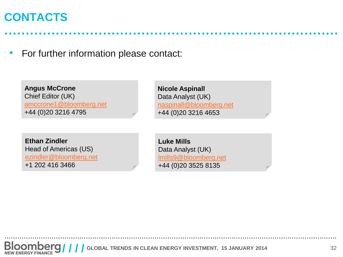#### **CONTACTS**

• For further information please contact:

**Angus McCrone**  Chief Editor (UK) [amccrone1@bloomberg.net](mailto:amccrone1@bloomberg.net) +44 (0)20 3216 4795

**Ethan Zindler** Head of Americas (US) [ezindler@bloomberg.net](mailto:ezindler@bloomberg.net) +1 202 416 3466

**Nicole Aspinall** Data Analyst (UK) [naspinall@bloomberg.net](mailto:naspinall@bloomberg.net) +44 (0)20 3216 4653

**Luke Mills** Data Analyst (UK) [lmills9@bloomberg.net](mailto:ezindler@bloomberg.net) +44 (0)20 3525 8135